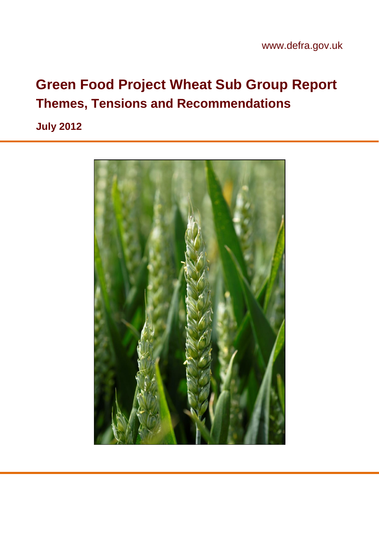# **Green Food Project Wheat Sub Group Report Themes, Tensions and Recommendations**

**July 2012**

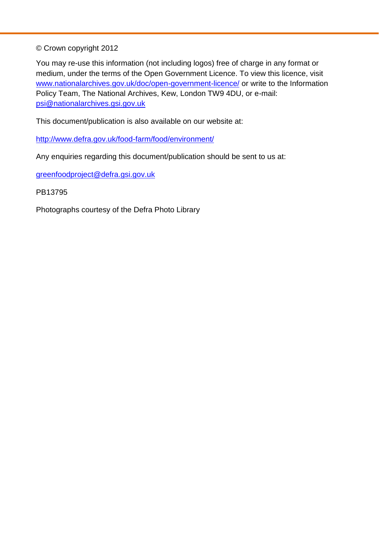© Crown copyright 2012

You may re-use this information (not including logos) free of charge in any format or medium, under the terms of the Open Government Licence. To view this licence, visit [www.nationalarchives.gov.uk/doc/open-government-licence/](http://www.nationalarchives.gov.uk/doc/open-government-licence/) or write to the Information Policy Team, The National Archives, Kew, London TW9 4DU, or e-mail: [psi@nationalarchives.gsi.gov.uk](mailto:psi@nationalarchives.gsi.gov.uk)

This document/publication is also available on our website at:

<http://www.defra.gov.uk/food-farm/food/environment/>

Any enquiries regarding this document/publication should be sent to us at:

[greenfoodproject@defra.gsi.gov.uk](mailto:greenfoodproject@defra.gsi.gov.uk)

PB13795

Photographs courtesy of the Defra Photo Library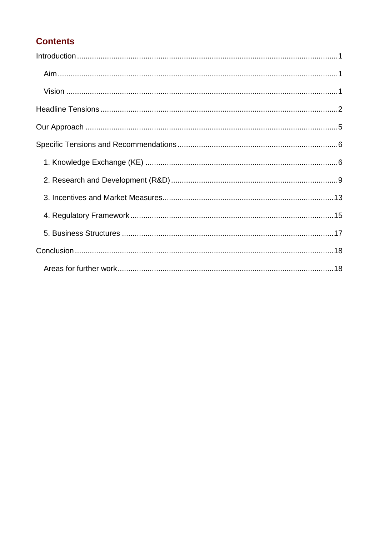#### **Contents**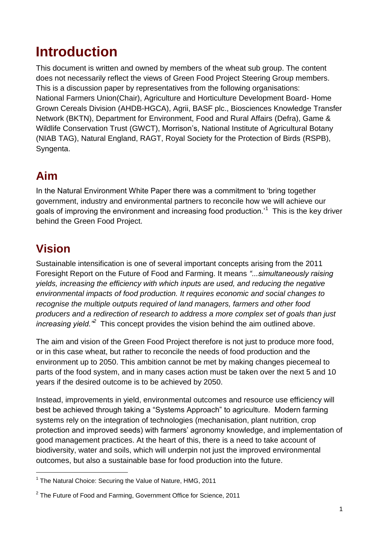## <span id="page-3-0"></span>**Introduction**

This document is written and owned by members of the wheat sub group. The content does not necessarily reflect the views of Green Food Project Steering Group members. This is a discussion paper by representatives from the following organisations: National Farmers Union(Chair), Agriculture and Horticulture Development Board- Home Grown Cereals Division (AHDB-HGCA), Agrii, BASF plc., Biosciences Knowledge Transfer Network (BKTN), Department for Environment, Food and Rural Affairs (Defra), Game & Wildlife Conservation Trust (GWCT), Morrison"s, National Institute of Agricultural Botany (NIAB TAG), Natural England, RAGT, Royal Society for the Protection of Birds (RSPB), Syngenta.

### <span id="page-3-1"></span>**Aim**

In the Natural Environment White Paper there was a commitment to "bring together government, industry and environmental partners to reconcile how we will achieve our goals of improving the environment and increasing food production.'<sup>1</sup> This is the key driver behind the Green Food Project.

## <span id="page-3-2"></span>**Vision**

1

Sustainable intensification is one of several important concepts arising from the 2011 Foresight Report on the Future of Food and Farming. It means *"...simultaneously raising yields, increasing the efficiency with which inputs are used, and reducing the negative environmental impacts of food production. It requires economic and social changes to recognise the multiple outputs required of land managers, farmers and other food producers and a redirection of research to address a more complex set of goals than just increasing yield.*<sup>2</sup> This concept provides the vision behind the aim outlined above.

The aim and vision of the Green Food Project therefore is not just to produce more food, or in this case wheat, but rather to reconcile the needs of food production and the environment up to 2050. This ambition cannot be met by making changes piecemeal to parts of the food system, and in many cases action must be taken over the next 5 and 10 years if the desired outcome is to be achieved by 2050.

Instead, improvements in yield, environmental outcomes and resource use efficiency will best be achieved through taking a "Systems Approach" to agriculture. Modern farming systems rely on the integration of technologies (mechanisation, plant nutrition, crop protection and improved seeds) with farmers" agronomy knowledge, and implementation of good management practices. At the heart of this, there is a need to take account of biodiversity, water and soils, which will underpin not just the improved environmental outcomes, but also a sustainable base for food production into the future.

<sup>&</sup>lt;sup>1</sup> The Natural Choice: Securing the Value of Nature, HMG, 2011

 $2$  The Future of Food and Farming, Government Office for Science, 2011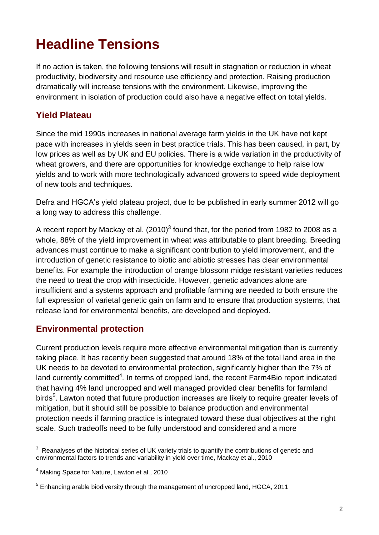# <span id="page-4-0"></span>**Headline Tensions**

If no action is taken, the following tensions will result in stagnation or reduction in wheat productivity, biodiversity and resource use efficiency and protection. Raising production dramatically will increase tensions with the environment. Likewise, improving the environment in isolation of production could also have a negative effect on total yields.

#### **Yield Plateau**

Since the mid 1990s increases in national average farm yields in the UK have not kept pace with increases in yields seen in best practice trials. This has been caused, in part, by low prices as well as by UK and EU policies. There is a wide variation in the productivity of wheat growers, and there are opportunities for knowledge exchange to help raise low yields and to work with more technologically advanced growers to speed wide deployment of new tools and techniques.

Defra and HGCA"s yield plateau project, due to be published in early summer 2012 will go a long way to address this challenge.

A recent report by Mackay et al. (2010)<sup>3</sup> found that, for the period from 1982 to 2008 as a whole, 88% of the yield improvement in wheat was attributable to plant breeding. Breeding advances must continue to make a significant contribution to yield improvement, and the introduction of genetic resistance to biotic and abiotic stresses has clear environmental benefits. For example the introduction of orange blossom midge resistant varieties reduces the need to treat the crop with insecticide. However, genetic advances alone are insufficient and a systems approach and profitable farming are needed to both ensure the full expression of varietal genetic gain on farm and to ensure that production systems, that release land for environmental benefits, are developed and deployed.

#### **Environmental protection**

Current production levels require more effective environmental mitigation than is currently taking place. It has recently been suggested that around 18% of the total land area in the UK needs to be devoted to environmental protection, significantly higher than the 7% of land currently committed<sup>4</sup>. In terms of cropped land, the recent Farm4Bio report indicated that having 4% land uncropped and well managed provided clear benefits for farmland birds<sup>5</sup>. Lawton noted that future production increases are likely to require greater levels of mitigation, but it should still be possible to balance production and environmental protection needs if farming practice is integrated toward these dual objectives at the right scale. Such tradeoffs need to be fully understood and considered and a more

1

 $3$  Reanalyses of the historical series of UK variety trials to quantify the contributions of genetic and environmental factors to trends and variability in vield over time. Mackay et al., 2010

<sup>4</sup> Making Space for Nature, Lawton et al., 2010

 $<sup>5</sup>$  Enhancing arable biodiversity through the management of uncropped land, HGCA, 2011</sup>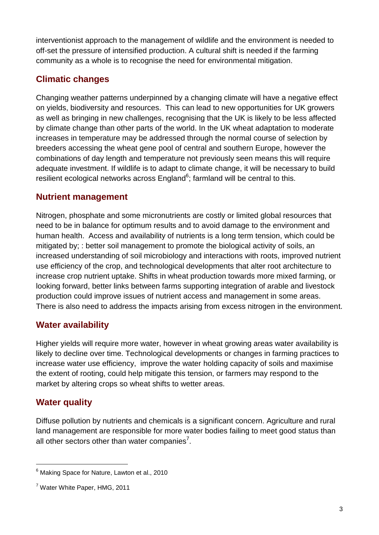interventionist approach to the management of wildlife and the environment is needed to off-set the pressure of intensified production. A cultural shift is needed if the farming community as a whole is to recognise the need for environmental mitigation.

#### **Climatic changes**

Changing weather patterns underpinned by a changing climate will have a negative effect on yields, biodiversity and resources. This can lead to new opportunities for UK growers as well as bringing in new challenges, recognising that the UK is likely to be less affected by climate change than other parts of the world. In the UK wheat adaptation to moderate increases in temperature may be addressed through the normal course of selection by breeders accessing the wheat gene pool of central and southern Europe, however the combinations of day length and temperature not previously seen means this will require adequate investment. If wildlife is to adapt to climate change, it will be necessary to build resilient ecological networks across  ${\sf England}^6$ ; farmland will be central to this.

#### **Nutrient management**

Nitrogen, phosphate and some micronutrients are costly or limited global resources that need to be in balance for optimum results and to avoid damage to the environment and human health. Access and availability of nutrients is a long term tension, which could be mitigated by; : better soil management to promote the biological activity of soils, an increased understanding of soil microbiology and interactions with roots, improved nutrient use efficiency of the crop, and technological developments that alter root architecture to increase crop nutrient uptake. Shifts in wheat production towards more mixed farming, or looking forward, better links between farms supporting integration of arable and livestock production could improve issues of nutrient access and management in some areas. There is also need to address the impacts arising from excess nitrogen in the environment.

#### **Water availability**

Higher yields will require more water, however in wheat growing areas water availability is likely to decline over time. Technological developments or changes in farming practices to increase water use efficiency, improve the water holding capacity of soils and maximise the extent of rooting, could help mitigate this tension, or farmers may respond to the market by altering crops so wheat shifts to wetter areas.

#### **Water quality**

1

Diffuse pollution by nutrients and chemicals is a significant concern. Agriculture and rural land management are responsible for more water bodies failing to meet good status than all other sectors other than water companies<sup>7</sup>.

<sup>&</sup>lt;sup>6</sup> Making Space for Nature, Lawton et al., 2010

<sup>7</sup> Water White Paper, HMG, 2011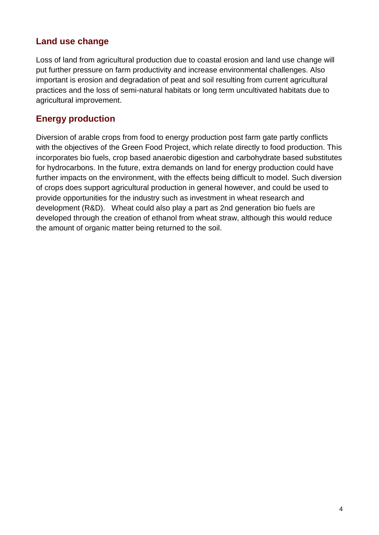#### **Land use change**

Loss of land from agricultural production due to coastal erosion and land use change will put further pressure on farm productivity and increase environmental challenges. Also important is erosion and degradation of peat and soil resulting from current agricultural practices and the loss of semi-natural habitats or long term uncultivated habitats due to agricultural improvement.

#### **Energy production**

Diversion of arable crops from food to energy production post farm gate partly conflicts with the objectives of the Green Food Project, which relate directly to food production. This incorporates bio fuels, crop based anaerobic digestion and carbohydrate based substitutes for hydrocarbons. In the future, extra demands on land for energy production could have further impacts on the environment, with the effects being difficult to model. Such diversion of crops does support agricultural production in general however, and could be used to provide opportunities for the industry such as investment in wheat research and development (R&D). Wheat could also play a part as 2nd generation bio fuels are developed through the creation of ethanol from wheat straw, although this would reduce the amount of organic matter being returned to the soil.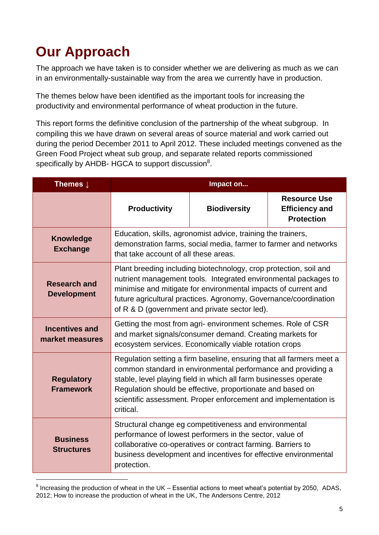# <span id="page-7-0"></span>**Our Approach**

1

The approach we have taken is to consider whether we are delivering as much as we can in an environmentally-sustainable way from the area we currently have in production.

The themes below have been identified as the important tools for increasing the productivity and environmental performance of wheat production in the future.

This report forms the definitive conclusion of the partnership of the wheat subgroup. In compiling this we have drawn on several areas of source material and work carried out during the period December 2011 to April 2012. These included meetings convened as the Green Food Project wheat sub group, and separate related reports commissioned specifically by AHDB- HGCA to support discussion $8$ .

| Themes $\downarrow$                       | Impact on                                                                                                                                                                                                                                                                                                                                              |                     |                                                                   |
|-------------------------------------------|--------------------------------------------------------------------------------------------------------------------------------------------------------------------------------------------------------------------------------------------------------------------------------------------------------------------------------------------------------|---------------------|-------------------------------------------------------------------|
|                                           | <b>Productivity</b>                                                                                                                                                                                                                                                                                                                                    | <b>Biodiversity</b> | <b>Resource Use</b><br><b>Efficiency and</b><br><b>Protection</b> |
| <b>Knowledge</b><br><b>Exchange</b>       | Education, skills, agronomist advice, training the trainers,<br>demonstration farms, social media, farmer to farmer and networks<br>that take account of all these areas.                                                                                                                                                                              |                     |                                                                   |
| <b>Research and</b><br><b>Development</b> | Plant breeding including biotechnology, crop protection, soil and<br>nutrient management tools. Integrated environmental packages to<br>minimise and mitigate for environmental impacts of current and<br>future agricultural practices. Agronomy, Governance/coordination<br>of R & D (government and private sector led).                            |                     |                                                                   |
| <b>Incentives and</b><br>market measures  | Getting the most from agri- environment schemes. Role of CSR<br>and market signals/consumer demand. Creating markets for<br>ecosystem services. Economically viable rotation crops                                                                                                                                                                     |                     |                                                                   |
| <b>Regulatory</b><br><b>Framework</b>     | Regulation setting a firm baseline, ensuring that all farmers meet a<br>common standard in environmental performance and providing a<br>stable, level playing field in which all farm businesses operate<br>Regulation should be effective, proportionate and based on<br>scientific assessment. Proper enforcement and implementation is<br>critical. |                     |                                                                   |
| <b>Business</b><br><b>Structures</b>      | Structural change eg competitiveness and environmental<br>performance of lowest performers in the sector, value of<br>collaborative co-operatives or contract farming. Barriers to<br>business development and incentives for effective environmental<br>protection.                                                                                   |                     |                                                                   |

 $8$  Increasing the production of wheat in the UK – Essential actions to meet wheat's potential by 2050, ADAS, 2012; How to increase the production of wheat in the UK, The Andersons Centre, 2012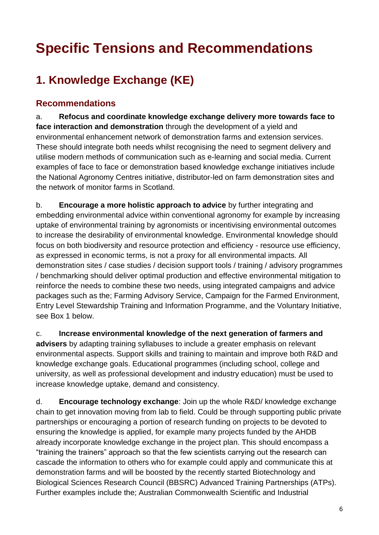# <span id="page-8-0"></span>**Specific Tensions and Recommendations**

## <span id="page-8-1"></span>**1. Knowledge Exchange (KE)**

#### **Recommendations**

a. **Refocus and coordinate knowledge exchange delivery more towards face to face interaction and demonstration** through the development of a yield and environmental enhancement network of demonstration farms and extension services. These should integrate both needs whilst recognising the need to segment delivery and utilise modern methods of communication such as e-learning and social media. Current examples of face to face or demonstration based knowledge exchange initiatives include the National Agronomy Centres initiative, distributor-led on farm demonstration sites and the network of monitor farms in Scotland.

b. **Encourage a more holistic approach to advice** by further integrating and embedding environmental advice within conventional agronomy for example by increasing uptake of environmental training by agronomists or incentivising environmental outcomes to increase the desirability of environmental knowledge. Environmental knowledge should focus on both biodiversity and resource protection and efficiency - resource use efficiency, as expressed in economic terms, is not a proxy for all environmental impacts. All demonstration sites / case studies / decision support tools / training / advisory programmes / benchmarking should deliver optimal production and effective environmental mitigation to reinforce the needs to combine these two needs, using integrated campaigns and advice packages such as the; Farming Advisory Service, Campaign for the Farmed Environment, Entry Level Stewardship Training and Information Programme, and the Voluntary Initiative, see Box 1 below.

c. **Increase environmental knowledge of the next generation of farmers and advisers** by adapting training syllabuses to include a greater emphasis on relevant environmental aspects. Support skills and training to maintain and improve both R&D and knowledge exchange goals. Educational programmes (including school, college and university, as well as professional development and industry education) must be used to increase knowledge uptake, demand and consistency.

d. **Encourage technology exchange**: Join up the whole R&D/ knowledge exchange chain to get innovation moving from lab to field. Could be through supporting public private partnerships or encouraging a portion of research funding on projects to be devoted to ensuring the knowledge is applied, for example many projects funded by the AHDB already incorporate knowledge exchange in the project plan. This should encompass a "training the trainers" approach so that the few scientists carrying out the research can cascade the information to others who for example could apply and communicate this at demonstration farms and will be boosted by the recently started Biotechnology and Biological Sciences Research Council (BBSRC) Advanced Training Partnerships (ATPs). Further examples include the; Australian Commonwealth Scientific and Industrial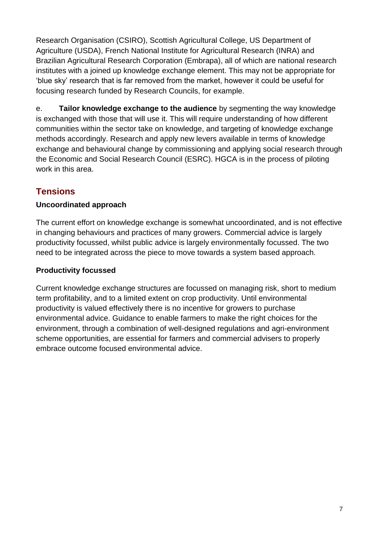Research Organisation (CSIRO), Scottish Agricultural College, US Department of Agriculture (USDA), French National Institute for Agricultural Research (INRA) and Brazilian Agricultural Research Corporation (Embrapa), all of which are national research institutes with a joined up knowledge exchange element. This may not be appropriate for "blue sky" research that is far removed from the market, however it could be useful for focusing research funded by Research Councils, for example.

e. **Tailor knowledge exchange to the audience** by segmenting the way knowledge is exchanged with those that will use it. This will require understanding of how different communities within the sector take on knowledge, and targeting of knowledge exchange methods accordingly. Research and apply new levers available in terms of knowledge exchange and behavioural change by commissioning and applying social research through the Economic and Social Research Council (ESRC). HGCA is in the process of piloting work in this area.

#### **Tensions**

#### **Uncoordinated approach**

The current effort on knowledge exchange is somewhat uncoordinated, and is not effective in changing behaviours and practices of many growers. Commercial advice is largely productivity focussed, whilst public advice is largely environmentally focussed. The two need to be integrated across the piece to move towards a system based approach.

#### **Productivity focussed**

Current knowledge exchange structures are focussed on managing risk, short to medium term profitability, and to a limited extent on crop productivity. Until environmental productivity is valued effectively there is no incentive for growers to purchase environmental advice. Guidance to enable farmers to make the right choices for the environment, through a combination of well-designed regulations and agri-environment scheme opportunities, are essential for farmers and commercial advisers to properly embrace outcome focused environmental advice.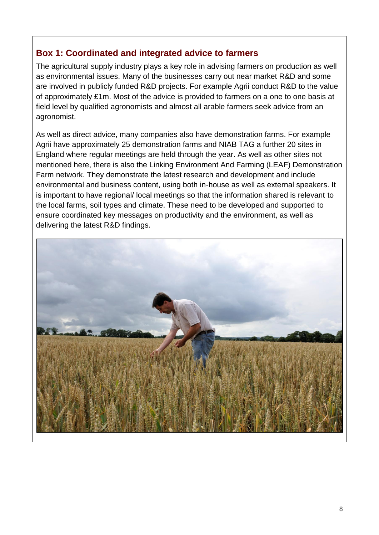#### **Box 1: Coordinated and integrated advice to farmers**

The agricultural supply industry plays a key role in advising farmers on production as well as environmental issues. Many of the businesses carry out near market R&D and some are involved in publicly funded R&D projects. For example Agrii conduct R&D to the value of approximately £1m. Most of the advice is provided to farmers on a one to one basis at field level by qualified agronomists and almost all arable farmers seek advice from an agronomist.

As well as direct advice, many companies also have demonstration farms. For example Agrii have approximately 25 demonstration farms and NIAB TAG a further 20 sites in England where regular meetings are held through the year. As well as other sites not mentioned here, there is also the Linking Environment And Farming (LEAF) Demonstration Farm network. They demonstrate the latest research and development and include environmental and business content, using both in-house as well as external speakers. It is important to have regional/ local meetings so that the information shared is relevant to the local farms, soil types and climate. These need to be developed and supported to ensure coordinated key messages on productivity and the environment, as well as delivering the latest R&D findings.

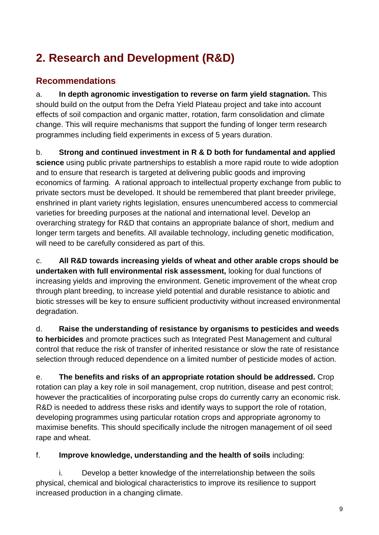## <span id="page-11-0"></span>**2. Research and Development (R&D)**

#### **Recommendations**

a. **In depth agronomic investigation to reverse on farm yield stagnation.** This should build on the output from the Defra Yield Plateau project and take into account effects of soil compaction and organic matter, rotation, farm consolidation and climate change. This will require mechanisms that support the funding of longer term research programmes including field experiments in excess of 5 years duration.

b. **Strong and continued investment in R & D both for fundamental and applied science** using public private partnerships to establish a more rapid route to wide adoption

and to ensure that research is targeted at delivering public goods and improving economics of farming. A rational approach to intellectual property exchange from public to private sectors must be developed. It should be remembered that plant breeder privilege, enshrined in plant variety rights legislation, ensures unencumbered access to commercial varieties for breeding purposes at the national and international level. Develop an overarching strategy for R&D that contains an appropriate balance of short, medium and longer term targets and benefits. All available technology, including genetic modification, will need to be carefully considered as part of this.

c. **All R&D towards increasing yields of wheat and other arable crops should be undertaken with full environmental risk assessment,** looking for dual functions of increasing yields and improving the environment. Genetic improvement of the wheat crop through plant breeding, to increase yield potential and durable resistance to abiotic and biotic stresses will be key to ensure sufficient productivity without increased environmental degradation.

d. **Raise the understanding of resistance by organisms to pesticides and weeds to herbicides** and promote practices such as Integrated Pest Management and cultural control that reduce the risk of transfer of inherited resistance or slow the rate of resistance selection through reduced dependence on a limited number of pesticide modes of action.

e. **The benefits and risks of an appropriate rotation should be addressed.** Crop rotation can play a key role in soil management, crop nutrition, disease and pest control; however the practicalities of incorporating pulse crops do currently carry an economic risk. R&D is needed to address these risks and identify ways to support the role of rotation, developing programmes using particular rotation crops and appropriate agronomy to maximise benefits. This should specifically include the nitrogen management of oil seed rape and wheat.

f. **Improve knowledge, understanding and the health of soils** including:

i. Develop a better knowledge of the interrelationship between the soils physical, chemical and biological characteristics to improve its resilience to support increased production in a changing climate.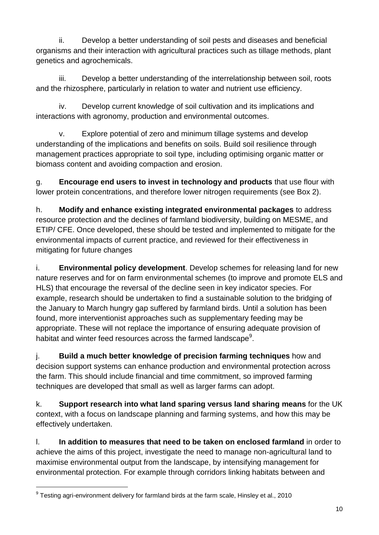ii. Develop a better understanding of soil pests and diseases and beneficial organisms and their interaction with agricultural practices such as tillage methods, plant genetics and agrochemicals.

iii. Develop a better understanding of the interrelationship between soil, roots and the rhizosphere, particularly in relation to water and nutrient use efficiency.

iv. Develop current knowledge of soil cultivation and its implications and interactions with agronomy, production and environmental outcomes.

v. Explore potential of zero and minimum tillage systems and develop understanding of the implications and benefits on soils. Build soil resilience through management practices appropriate to soil type, including optimising organic matter or biomass content and avoiding compaction and erosion.

g. **Encourage end users to invest in technology and products** that use flour with lower protein concentrations, and therefore lower nitrogen requirements (see Box 2).

h. **Modify and enhance existing integrated environmental packages** to address resource protection and the declines of farmland biodiversity, building on MESME, and ETIP/ CFE. Once developed, these should be tested and implemented to mitigate for the environmental impacts of current practice, and reviewed for their effectiveness in mitigating for future changes

i. **Environmental policy development**. Develop schemes for releasing land for new nature reserves and for on farm environmental schemes (to improve and promote ELS and HLS) that encourage the reversal of the decline seen in key indicator species. For example, research should be undertaken to find a sustainable solution to the bridging of the January to March hungry gap suffered by farmland birds. Until a solution has been found, more interventionist approaches such as supplementary feeding may be appropriate. These will not replace the importance of ensuring adequate provision of habitat and winter feed resources across the farmed landscape $9$ .

j. **Build a much better knowledge of precision farming techniques** how and decision support systems can enhance production and environmental protection across the farm. This should include financial and time commitment, so improved farming techniques are developed that small as well as larger farms can adopt.

k. **Support research into what land sparing versus land sharing means** for the UK context, with a focus on landscape planning and farming systems, and how this may be effectively undertaken.

l. **In addition to measures that need to be taken on enclosed farmland** in order to achieve the aims of this project, investigate the need to manage non-agricultural land to maximise environmental output from the landscape, by intensifying management for environmental protection. For example through corridors linking habitats between and

1

 $9$  Testing agri-environment delivery for farmland birds at the farm scale, Hinsley et al., 2010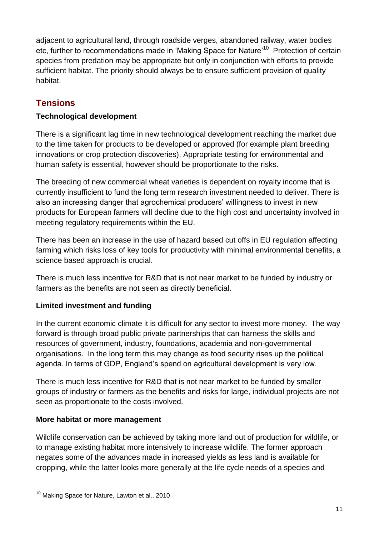adiacent to agricultural land, through roadside verges, abandoned railway, water bodies etc, further to recommendations made in 'Making Space for Nature'<sup>10</sup> Protection of certain species from predation may be appropriate but only in conjunction with efforts to provide sufficient habitat. The priority should always be to ensure sufficient provision of quality habitat.

#### **Tensions**

#### **Technological development**

There is a significant lag time in new technological development reaching the market due to the time taken for products to be developed or approved (for example plant breeding innovations or crop protection discoveries). Appropriate testing for environmental and human safety is essential, however should be proportionate to the risks.

The breeding of new commercial wheat varieties is dependent on royalty income that is currently insufficient to fund the long term research investment needed to deliver. There is also an increasing danger that agrochemical producers' willingness to invest in new products for European farmers will decline due to the high cost and uncertainty involved in meeting regulatory requirements within the EU.

There has been an increase in the use of hazard based cut offs in EU regulation affecting farming which risks loss of key tools for productivity with minimal environmental benefits, a science based approach is crucial.

There is much less incentive for R&D that is not near market to be funded by industry or farmers as the benefits are not seen as directly beneficial.

#### **Limited investment and funding**

In the current economic climate it is difficult for any sector to invest more money. The way forward is through broad public private partnerships that can harness the skills and resources of government, industry, foundations, academia and non-governmental organisations. In the long term this may change as food security rises up the political agenda. In terms of GDP, England"s spend on agricultural development is very low.

There is much less incentive for R&D that is not near market to be funded by smaller groups of industry or farmers as the benefits and risks for large, individual projects are not seen as proportionate to the costs involved.

#### **More habitat or more management**

Wildlife conservation can be achieved by taking more land out of production for wildlife, or to manage existing habitat more intensively to increase wildlife. The former approach negates some of the advances made in increased yields as less land is available for cropping, while the latter looks more generally at the life cycle needs of a species and

1

<sup>&</sup>lt;sup>10</sup> Making Space for Nature, Lawton et al., 2010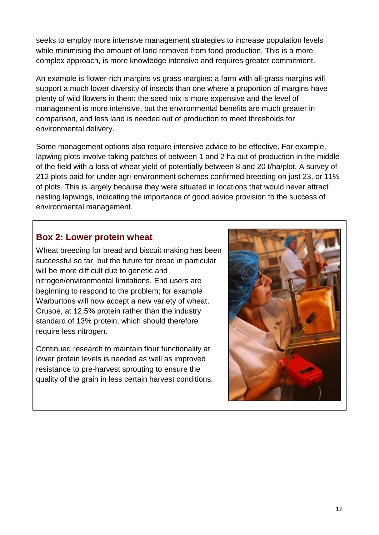seeks to employ more intensive management strategies to increase population levels while minimising the amount of land removed from food production. This is a more complex approach, is more knowledge intensive and requires greater commitment.

An example is flower-rich margins vs grass margins: a farm with all-grass margins will support a much lower diversity of insects than one where a proportion of margins have plenty of wild flowers in them: the seed mix is more expensive and the level of management is more intensive, but the environmental benefits are much greater in comparison, and less land is needed out of production to meet thresholds for environmental delivery.

Some management options also require intensive advice to be effective. For example, lapwing plots involve taking patches of between 1 and 2 ha out of production in the middle of the field with a loss of wheat yield of potentially between 8 and 20 t/ha/plot. A survey of 212 plots paid for under agri-environment schemes confirmed breeding on just 23, or 11% of plots. This is largely because they were situated in locations that would never attract nesting lapwings, indicating the importance of good advice provision to the success of environmental management.

#### **Box 2: Lower protein wheat**

Wheat breeding for bread and biscuit making has been successful so far, but the future for bread in particular will be more difficult due to genetic and nitrogen/environmental limitations. End users are beginning to respond to the problem; for example Warburtons will now accept a new variety of wheat, Crusoe, at 12.5% protein rather than the industry standard of 13% protein, which should therefore require less nitrogen.

Continued research to maintain flour functionality at lower protein levels is needed as well as improved resistance to pre-harvest sprouting to ensure the quality of the grain in less certain harvest conditions.

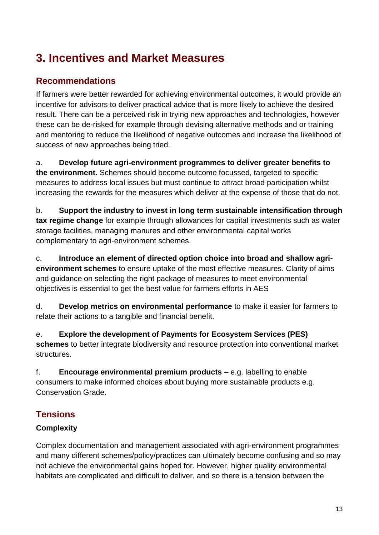## <span id="page-15-0"></span>**3. Incentives and Market Measures**

#### **Recommendations**

If farmers were better rewarded for achieving environmental outcomes, it would provide an incentive for advisors to deliver practical advice that is more likely to achieve the desired result. There can be a perceived risk in trying new approaches and technologies, however these can be de-risked for example through devising alternative methods and or training and mentoring to reduce the likelihood of negative outcomes and increase the likelihood of success of new approaches being tried.

a. **Develop future agri-environment programmes to deliver greater benefits to the environment.** Schemes should become outcome focussed, targeted to specific measures to address local issues but must continue to attract broad participation whilst increasing the rewards for the measures which deliver at the expense of those that do not.

b. **Support the industry to invest in long term sustainable intensification through tax regime change** for example through allowances for capital investments such as water storage facilities, managing manures and other environmental capital works complementary to agri-environment schemes.

c. **Introduce an element of directed option choice into broad and shallow agrienvironment schemes** to ensure uptake of the most effective measures. Clarity of aims and guidance on selecting the right package of measures to meet environmental objectives is essential to get the best value for farmers efforts in AES

d. **Develop metrics on environmental performance** to make it easier for farmers to relate their actions to a tangible and financial benefit.

e. **Explore the development of Payments for Ecosystem Services (PES) schemes** to better integrate biodiversity and resource protection into conventional market structures.

f. **Encourage environmental premium products** – e.g. labelling to enable consumers to make informed choices about buying more sustainable products e.g. Conservation Grade.

#### **Tensions**

#### **Complexity**

Complex documentation and management associated with agri-environment programmes and many different schemes/policy/practices can ultimately become confusing and so may not achieve the environmental gains hoped for. However, higher quality environmental habitats are complicated and difficult to deliver, and so there is a tension between the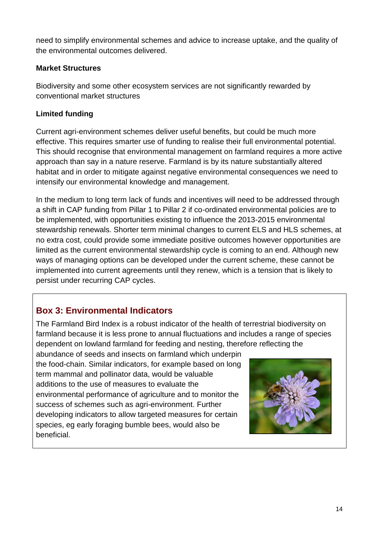need to simplify environmental schemes and advice to increase uptake, and the quality of the environmental outcomes delivered.

#### **Market Structures**

Biodiversity and some other ecosystem services are not significantly rewarded by conventional market structures

#### **Limited funding**

Current agri-environment schemes deliver useful benefits, but could be much more effective. This requires smarter use of funding to realise their full environmental potential. This should recognise that environmental management on farmland requires a more active approach than say in a nature reserve. Farmland is by its nature substantially altered habitat and in order to mitigate against negative environmental consequences we need to intensify our environmental knowledge and management.

In the medium to long term lack of funds and incentives will need to be addressed through a shift in CAP funding from Pillar 1 to Pillar 2 if co-ordinated environmental policies are to be implemented, with opportunities existing to influence the 2013-2015 environmental stewardship renewals. Shorter term minimal changes to current ELS and HLS schemes, at no extra cost, could provide some immediate positive outcomes however opportunities are limited as the current environmental stewardship cycle is coming to an end. Although new ways of managing options can be developed under the current scheme, these cannot be implemented into current agreements until they renew, which is a tension that is likely to persist under recurring CAP cycles.

#### **Box 3: Environmental Indicators**

The Farmland Bird Index is a robust indicator of the health of terrestrial biodiversity on farmland because it is less prone to annual fluctuations and includes a range of species dependent on lowland farmland for feeding and nesting, therefore reflecting the

abundance of seeds and insects on farmland which underpin the food-chain. Similar indicators, for example based on long term mammal and pollinator data, would be valuable additions to the use of measures to evaluate the environmental performance of agriculture and to monitor the success of schemes such as agri-environment. Further developing indicators to allow targeted measures for certain species, eg early foraging bumble bees, would also be beneficial.

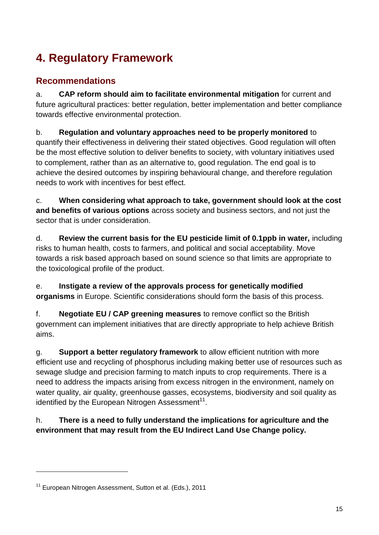## <span id="page-17-0"></span>**4. Regulatory Framework**

#### **Recommendations**

a. **CAP reform should aim to facilitate environmental mitigation** for current and future agricultural practices: better regulation, better implementation and better compliance towards effective environmental protection.

b. **Regulation and voluntary approaches need to be properly monitored** to quantify their effectiveness in delivering their stated objectives. Good regulation will often be the most effective solution to deliver benefits to society, with voluntary initiatives used to complement, rather than as an alternative to, good regulation. The end goal is to achieve the desired outcomes by inspiring behavioural change, and therefore regulation needs to work with incentives for best effect.

c. **When considering what approach to take, government should look at the cost and benefits of various options** across society and business sectors, and not just the sector that is under consideration.

d. **Review the current basis for the EU pesticide limit of 0.1ppb in water,** including risks to human health, costs to farmers, and political and social acceptability. Move towards a risk based approach based on sound science so that limits are appropriate to the toxicological profile of the product.

e. **Instigate a review of the approvals process for genetically modified organisms** in Europe. Scientific considerations should form the basis of this process.

f. **Negotiate EU / CAP greening measures** to remove conflict so the British government can implement initiatives that are directly appropriate to help achieve British aims.

g. **Support a better regulatory framework** to allow efficient nutrition with more efficient use and recycling of phosphorus including making better use of resources such as sewage sludge and precision farming to match inputs to crop requirements. There is a need to address the impacts arising from excess nitrogen in the environment, namely on water quality, air quality, greenhouse gasses, ecosystems, biodiversity and soil quality as identified by the European Nitrogen Assessment $^{11}$ .

h. **There is a need to fully understand the implications for agriculture and the environment that may result from the EU Indirect Land Use Change policy.** 

1

<sup>&</sup>lt;sup>11</sup> European Nitrogen Assessment, Sutton et al. (Eds.), 2011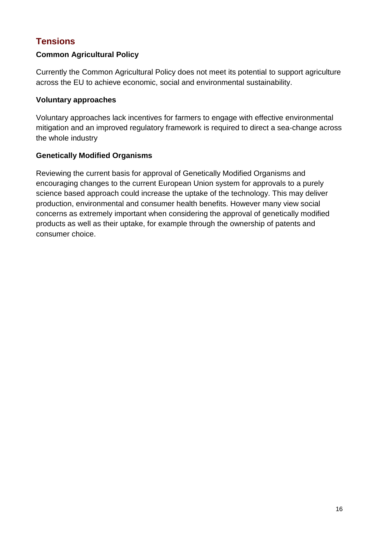#### **Tensions**

#### **Common Agricultural Policy**

Currently the Common Agricultural Policy does not meet its potential to support agriculture across the EU to achieve economic, social and environmental sustainability.

#### **Voluntary approaches**

Voluntary approaches lack incentives for farmers to engage with effective environmental mitigation and an improved regulatory framework is required to direct a sea-change across the whole industry

#### **Genetically Modified Organisms**

Reviewing the current basis for approval of Genetically Modified Organisms and encouraging changes to the current European Union system for approvals to a purely science based approach could increase the uptake of the technology. This may deliver production, environmental and consumer health benefits. However many view social concerns as extremely important when considering the approval of genetically modified products as well as their uptake, for example through the ownership of patents and consumer choice.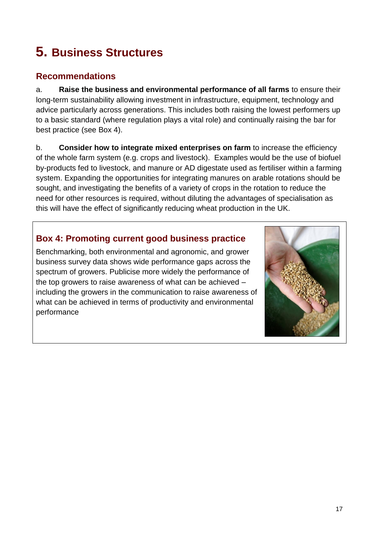# <span id="page-19-0"></span>**5. Business Structures**

#### **Recommendations**

a. **Raise the business and environmental performance of all farms** to ensure their long-term sustainability allowing investment in infrastructure, equipment, technology and advice particularly across generations. This includes both raising the lowest performers up to a basic standard (where regulation plays a vital role) and continually raising the bar for best practice (see Box 4).

b. **Consider how to integrate mixed enterprises on farm** to increase the efficiency of the whole farm system (e.g. crops and livestock). Examples would be the use of biofuel by-products fed to livestock, and manure or AD digestate used as fertiliser within a farming system. Expanding the opportunities for integrating manures on arable rotations should be sought, and investigating the benefits of a variety of crops in the rotation to reduce the need for other resources is required, without diluting the advantages of specialisation as this will have the effect of significantly reducing wheat production in the UK.

#### **Box 4: Promoting current good business practice**

Benchmarking, both environmental and agronomic, and grower business survey data shows wide performance gaps across the spectrum of growers. Publicise more widely the performance of the top growers to raise awareness of what can be achieved – including the growers in the communication to raise awareness of what can be achieved in terms of productivity and environmental performance